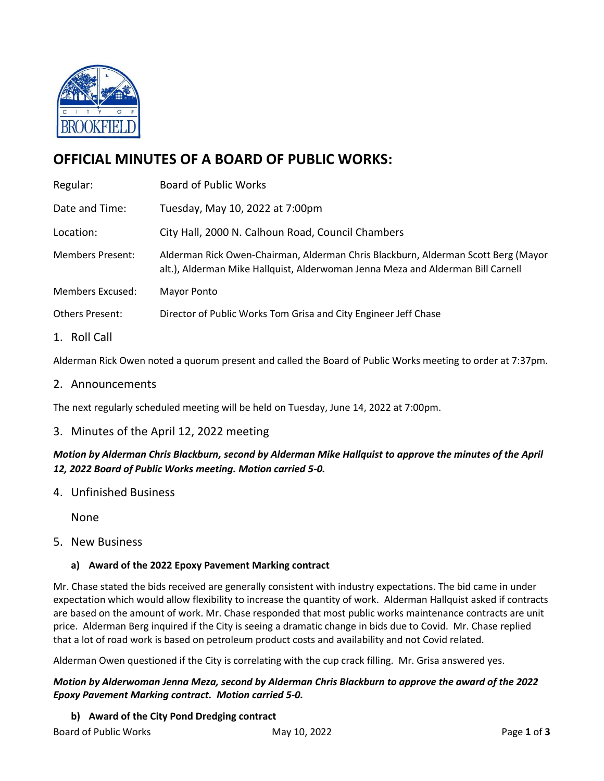

# **OFFICIAL MINUTES OF A BOARD OF PUBLIC WORKS:**

| Regular:                | <b>Board of Public Works</b>                                                                                                                                         |
|-------------------------|----------------------------------------------------------------------------------------------------------------------------------------------------------------------|
| Date and Time:          | Tuesday, May 10, 2022 at 7:00pm                                                                                                                                      |
| Location:               | City Hall, 2000 N. Calhoun Road, Council Chambers                                                                                                                    |
| <b>Members Present:</b> | Alderman Rick Owen-Chairman, Alderman Chris Blackburn, Alderman Scott Berg (Mayor<br>alt.), Alderman Mike Hallquist, Alderwoman Jenna Meza and Alderman Bill Carnell |
| <b>Members Excused:</b> | Mayor Ponto                                                                                                                                                          |
| <b>Others Present:</b>  | Director of Public Works Tom Grisa and City Engineer Jeff Chase                                                                                                      |
| 1. Roll Call            |                                                                                                                                                                      |

Alderman Rick Owen noted a quorum present and called the Board of Public Works meeting to order at 7:37pm.

2. Announcements

The next regularly scheduled meeting will be held on Tuesday, June 14, 2022 at 7:00pm.

3. Minutes of the April 12, 2022 meeting

*Motion by Alderman Chris Blackburn, second by Alderman Mike Hallquist to approve the minutes of the April 12, 2022 Board of Public Works meeting. Motion carried 5-0.*

4. Unfinished Business

None

5. New Business

#### **a) Award of the 2022 Epoxy Pavement Marking contract**

Mr. Chase stated the bids received are generally consistent with industry expectations. The bid came in under expectation which would allow flexibility to increase the quantity of work. Alderman Hallquist asked if contracts are based on the amount of work. Mr. Chase responded that most public works maintenance contracts are unit price. Alderman Berg inquired if the City is seeing a dramatic change in bids due to Covid. Mr. Chase replied that a lot of road work is based on petroleum product costs and availability and not Covid related.

Alderman Owen questioned if the City is correlating with the cup crack filling. Mr. Grisa answered yes.

*Motion by Alderwoman Jenna Meza, second by Alderman Chris Blackburn to approve the award of the 2022 Epoxy Pavement Marking contract. Motion carried 5-0.* 

**b) Award of the City Pond Dredging contract**

Board of Public Works May 10, 2022 Page **1** of **3**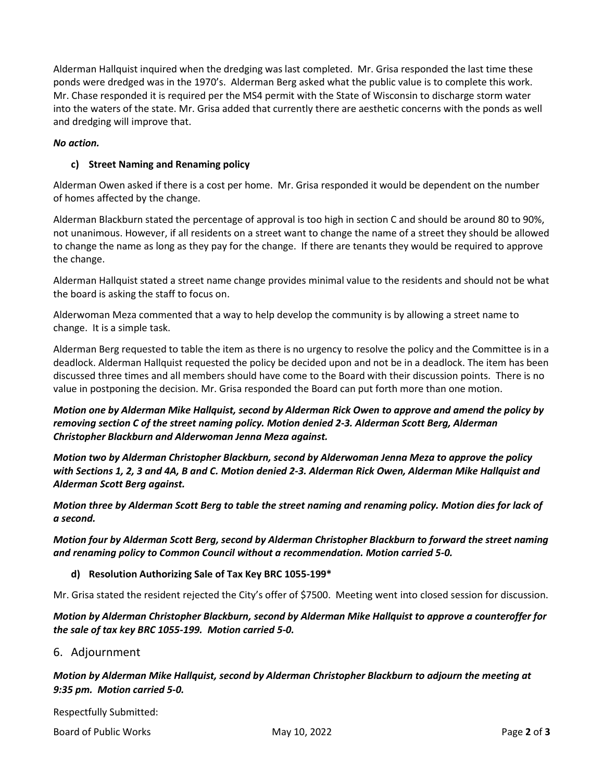Alderman Hallquist inquired when the dredging was last completed. Mr. Grisa responded the last time these ponds were dredged was in the 1970's. Alderman Berg asked what the public value is to complete this work. Mr. Chase responded it is required per the MS4 permit with the State of Wisconsin to discharge storm water into the waters of the state. Mr. Grisa added that currently there are aesthetic concerns with the ponds as well and dredging will improve that.

### *No action.*

## **c) Street Naming and Renaming policy**

Alderman Owen asked if there is a cost per home. Mr. Grisa responded it would be dependent on the number of homes affected by the change.

Alderman Blackburn stated the percentage of approval is too high in section C and should be around 80 to 90%, not unanimous. However, if all residents on a street want to change the name of a street they should be allowed to change the name as long as they pay for the change. If there are tenants they would be required to approve the change.

Alderman Hallquist stated a street name change provides minimal value to the residents and should not be what the board is asking the staff to focus on.

Alderwoman Meza commented that a way to help develop the community is by allowing a street name to change. It is a simple task.

Alderman Berg requested to table the item as there is no urgency to resolve the policy and the Committee is in a deadlock. Alderman Hallquist requested the policy be decided upon and not be in a deadlock. The item has been discussed three times and all members should have come to the Board with their discussion points. There is no value in postponing the decision. Mr. Grisa responded the Board can put forth more than one motion.

*Motion one by Alderman Mike Hallquist, second by Alderman Rick Owen to approve and amend the policy by removing section C of the street naming policy. Motion denied 2-3. Alderman Scott Berg, Alderman Christopher Blackburn and Alderwoman Jenna Meza against.*

*Motion two by Alderman Christopher Blackburn, second by Alderwoman Jenna Meza to approve the policy with Sections 1, 2, 3 and 4A, B and C. Motion denied 2-3. Alderman Rick Owen, Alderman Mike Hallquist and Alderman Scott Berg against.*

*Motion three by Alderman Scott Berg to table the street naming and renaming policy. Motion dies for lack of a second.* 

*Motion four by Alderman Scott Berg, second by Alderman Christopher Blackburn to forward the street naming and renaming policy to Common Council without a recommendation. Motion carried 5-0.*

#### **d) Resolution Authorizing Sale of Tax Key BRC 1055-199\***

Mr. Grisa stated the resident rejected the City's offer of \$7500. Meeting went into closed session for discussion.

*Motion by Alderman Christopher Blackburn, second by Alderman Mike Hallquist to approve a counteroffer for the sale of tax key BRC 1055-199. Motion carried 5-0.*

# 6. Adjournment

# *Motion by Alderman Mike Hallquist, second by Alderman Christopher Blackburn to adjourn the meeting at 9:35 pm. Motion carried 5-0.*

Respectfully Submitted:

Board of Public Works May 10, 2022 Page **2** of **3**